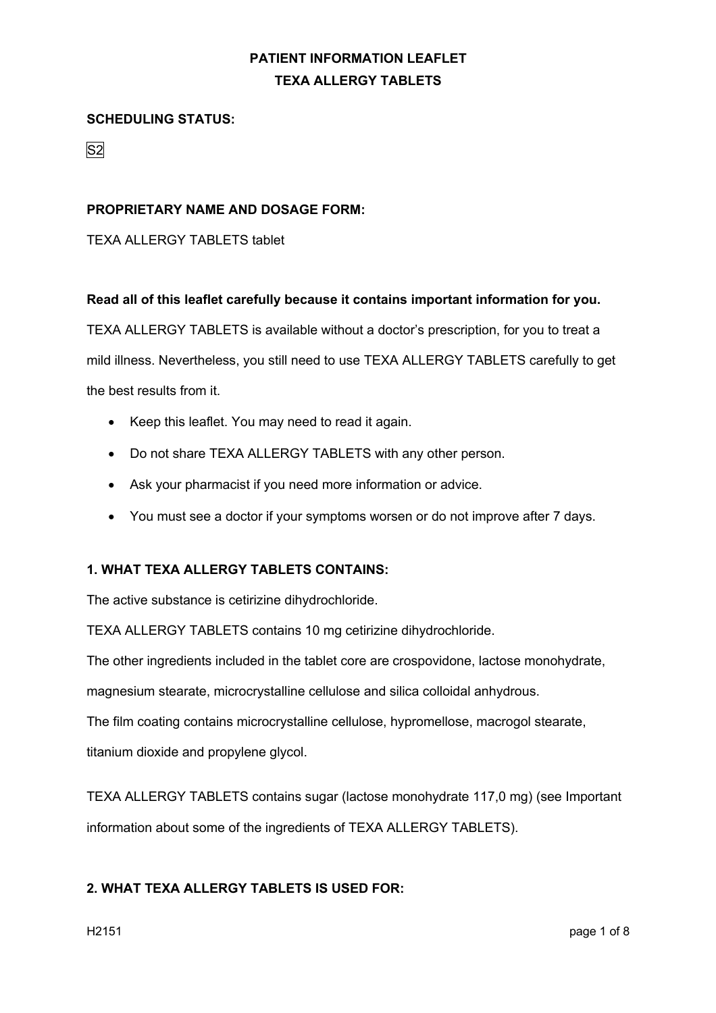#### **SCHEDULING STATUS:**

S2

#### **PROPRIETARY NAME AND DOSAGE FORM:**

TEXA ALLERGY TABLETS tablet

#### **Read all of this leaflet carefully because it contains important information for you.**

TEXA ALLERGY TABLETS is available without a doctor's prescription, for you to treat a mild illness. Nevertheless, you still need to use TEXA ALLERGY TABLETS carefully to get the best results from it.

- Keep this leaflet. You may need to read it again.
- Do not share TEXA ALLERGY TABLETS with any other person.
- Ask your pharmacist if you need more information or advice.
- You must see a doctor if your symptoms worsen or do not improve after 7 days.

#### **1. WHAT TEXA ALLERGY TABLETS CONTAINS:**

The active substance is cetirizine dihydrochloride.

TEXA ALLERGY TABLETS contains 10 mg cetirizine dihydrochloride.

The other ingredients included in the tablet core are crospovidone, lactose monohydrate,

magnesium stearate, microcrystalline cellulose and silica colloidal anhydrous.

The film coating contains microcrystalline cellulose, hypromellose, macrogol stearate,

titanium dioxide and propylene glycol.

TEXA ALLERGY TABLETS contains sugar (lactose monohydrate 117,0 mg) (see Important information about some of the ingredients of TEXA ALLERGY TABLETS).

#### **2. WHAT TEXA ALLERGY TABLETS IS USED FOR:**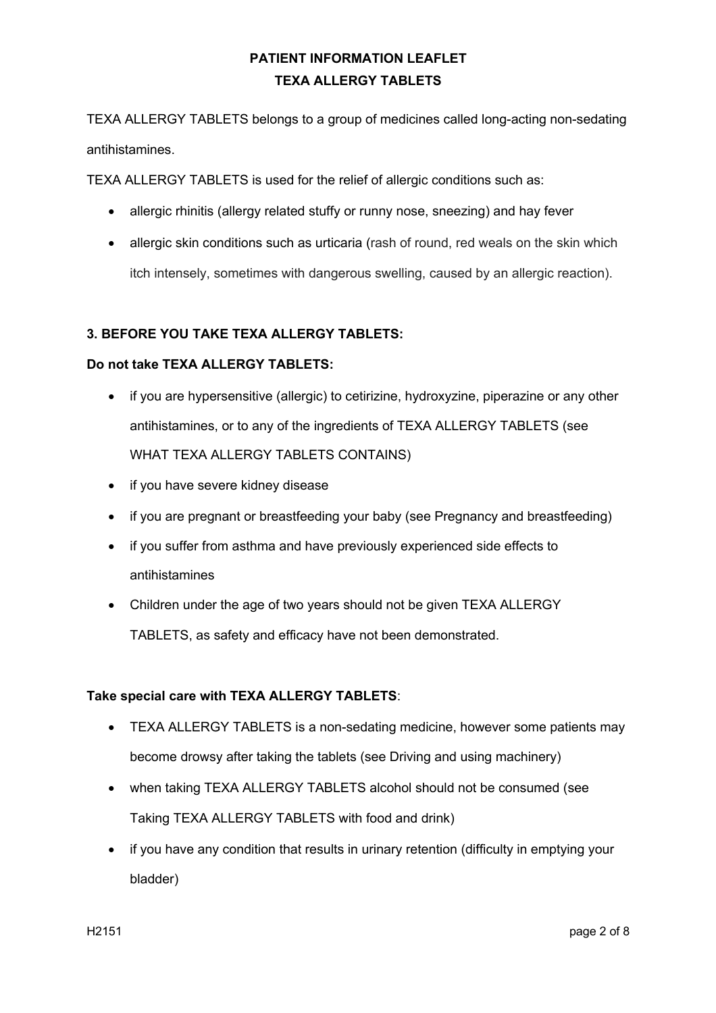TEXA ALLERGY TABLETS belongs to a group of medicines called long-acting non-sedating antihistamines.

TEXA ALLERGY TABLETS is used for the relief of allergic conditions such as:

- allergic rhinitis (allergy related stuffy or runny nose, sneezing) and hay fever
- allergic skin conditions such as urticaria (rash of round, red weals on the skin which itch intensely, sometimes with dangerous swelling, caused by an allergic reaction).

### **3. BEFORE YOU TAKE TEXA ALLERGY TABLETS:**

#### **Do not take TEXA ALLERGY TABLETS:**

- if you are hypersensitive (allergic) to cetirizine, hydroxyzine, piperazine or any other antihistamines, or to any of the ingredients of TEXA ALLERGY TABLETS (see WHAT TEXA ALLERGY TABLETS CONTAINS)
- if you have severe kidney disease
- if you are pregnant or breastfeeding your baby (see Pregnancy and breastfeeding)
- if you suffer from asthma and have previously experienced side effects to antihistamines
- Children under the age of two years should not be given TEXA ALLERGY TABLETS, as safety and efficacy have not been demonstrated.

#### **Take special care with TEXA ALLERGY TABLETS**:

- TEXA ALLERGY TABLETS is a non-sedating medicine, however some patients may become drowsy after taking the tablets (see Driving and using machinery)
- when taking TEXA ALLERGY TABLETS alcohol should not be consumed (see Taking TEXA ALLERGY TABLETS with food and drink)
- if you have any condition that results in urinary retention (difficulty in emptying your bladder)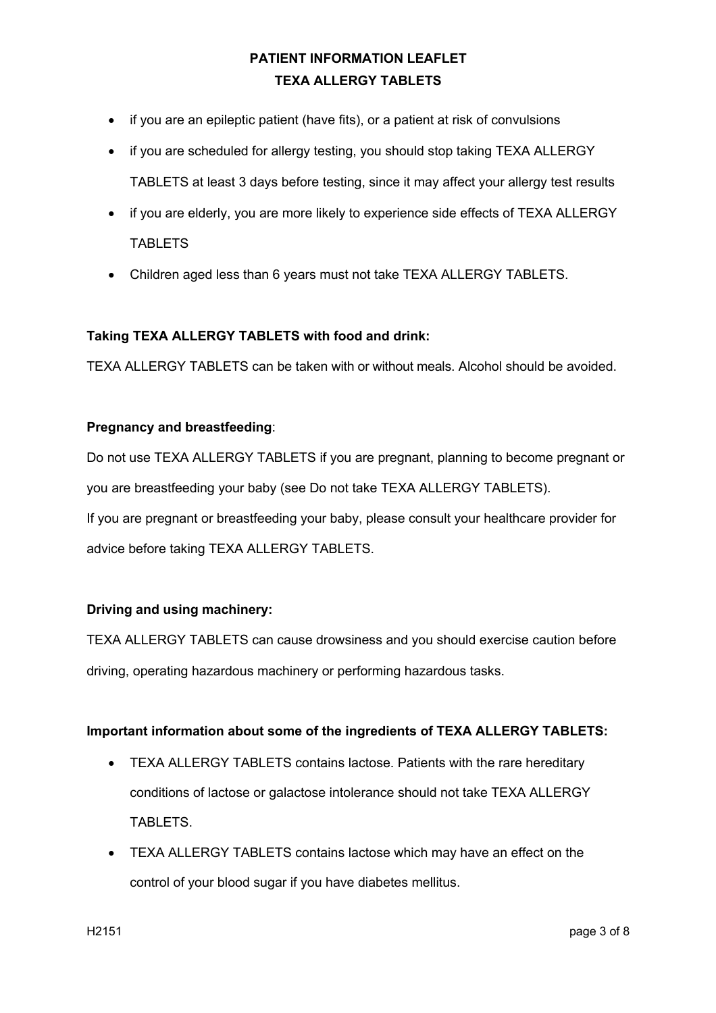- if you are an epileptic patient (have fits), or a patient at risk of convulsions
- if you are scheduled for allergy testing, you should stop taking TEXA ALLERGY TABLETS at least 3 days before testing, since it may affect your allergy test results
- if you are elderly, you are more likely to experience side effects of TEXA ALLERGY **TABLETS**
- Children aged less than 6 years must not take TEXA ALLERGY TABLETS.

#### **Taking TEXA ALLERGY TABLETS with food and drink:**

TEXA ALLERGY TABLETS can be taken with or without meals. Alcohol should be avoided.

#### **Pregnancy and breastfeeding**:

Do not use TEXA ALLERGY TABLETS if you are pregnant, planning to become pregnant or you are breastfeeding your baby (see Do not take TEXA ALLERGY TABLETS). If you are pregnant or breastfeeding your baby, please consult your healthcare provider for advice before taking TEXA ALLERGY TABLETS.

#### **Driving and using machinery:**

TEXA ALLERGY TABLETS can cause drowsiness and you should exercise caution before driving, operating hazardous machinery or performing hazardous tasks.

#### **Important information about some of the ingredients of TEXA ALLERGY TABLETS:**

- TEXA ALLERGY TABLETS contains lactose. Patients with the rare hereditary conditions of lactose or galactose intolerance should not take TEXA ALLERGY TABLETS.
- TEXA ALLERGY TABLETS contains lactose which may have an effect on the control of your blood sugar if you have diabetes mellitus.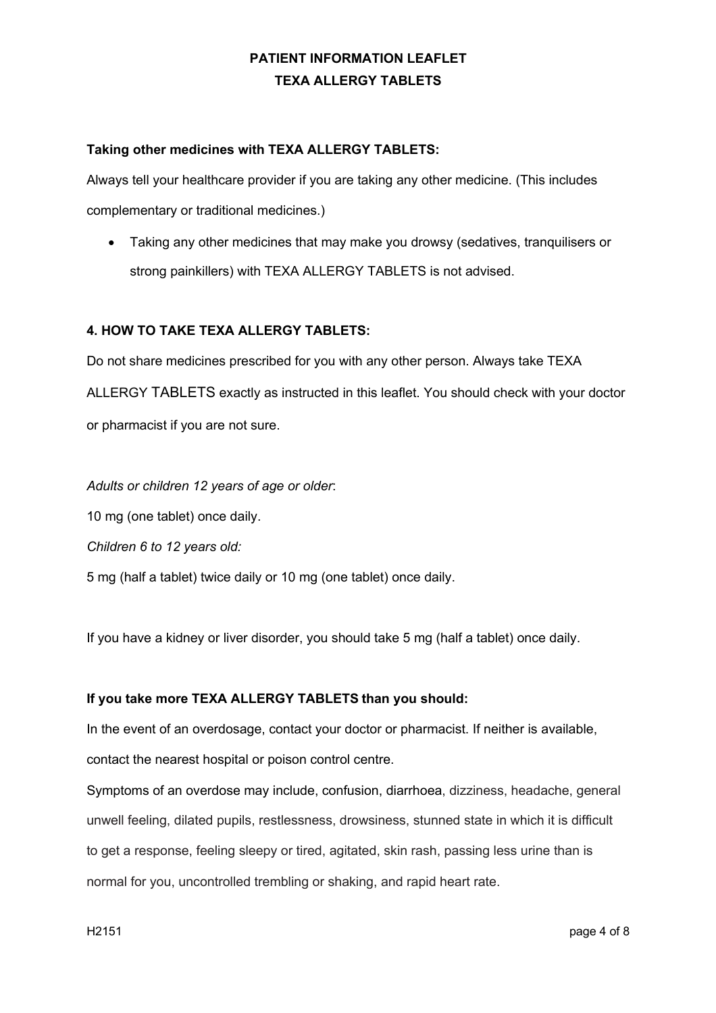### **Taking other medicines with TEXA ALLERGY TABLETS:**

Always tell your healthcare provider if you are taking any other medicine. (This includes complementary or traditional medicines.)

• Taking any other medicines that may make you drowsy (sedatives, tranquilisers or strong painkillers) with TEXA ALLERGY TABLETS is not advised.

### **4. HOW TO TAKE TEXA ALLERGY TABLETS:**

Do not share medicines prescribed for you with any other person. Always take TEXA ALLERGY TABLETS exactly as instructed in this leaflet. You should check with your doctor or pharmacist if you are not sure.

*Adults or children 12 years of age or older*: 10 mg (one tablet) once daily. *Children 6 to 12 years old:*  5 mg (half a tablet) twice daily or 10 mg (one tablet) once daily.

If you have a kidney or liver disorder, you should take 5 mg (half a tablet) once daily.

#### **If you take more TEXA ALLERGY TABLETS than you should:**

In the event of an overdosage, contact your doctor or pharmacist. If neither is available, contact the nearest hospital or poison control centre.

Symptoms of an overdose may include, confusion, diarrhoea, dizziness, headache, general unwell feeling, dilated pupils, restlessness, drowsiness, stunned state in which it is difficult to get a response, feeling sleepy or tired, agitated, skin rash, passing less urine than is normal for you, uncontrolled trembling or shaking, and rapid heart rate.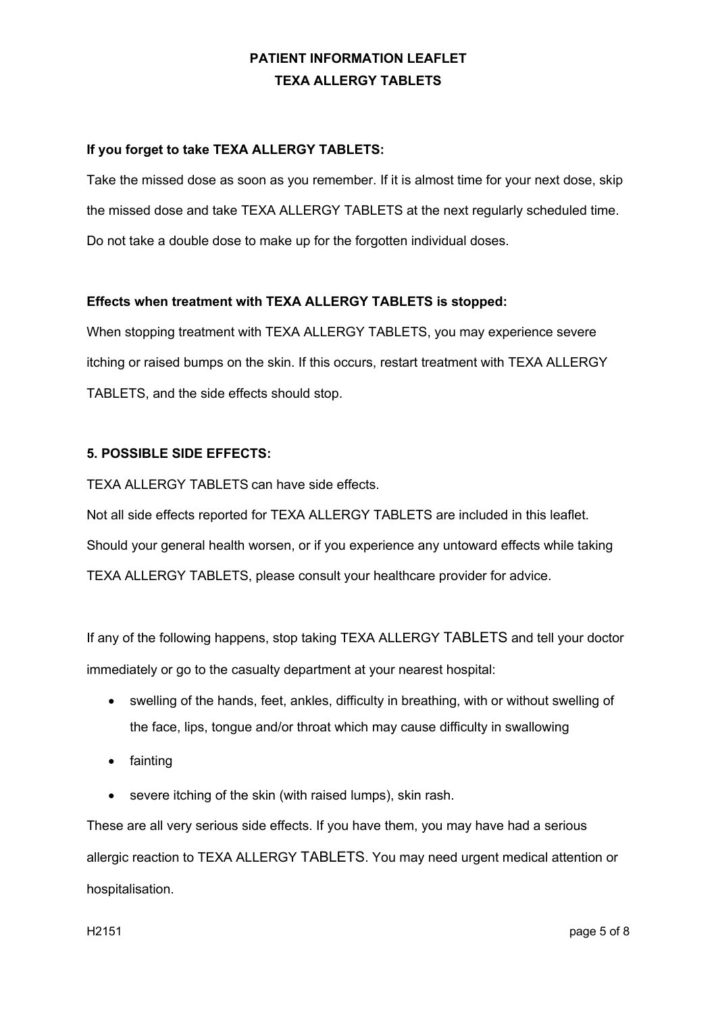### **If you forget to take TEXA ALLERGY TABLETS:**

Take the missed dose as soon as you remember. If it is almost time for your next dose, skip the missed dose and take TEXA ALLERGY TABLETS at the next regularly scheduled time. Do not take a double dose to make up for the forgotten individual doses.

#### **Effects when treatment with TEXA ALLERGY TABLETS is stopped:**

When stopping treatment with TEXA ALLERGY TABLETS, you may experience severe itching or raised bumps on the skin. If this occurs, restart treatment with TEXA ALLERGY TABLETS, and the side effects should stop.

#### **5. POSSIBLE SIDE EFFECTS:**

TEXA ALLERGY TABLETS can have side effects.

Not all side effects reported for TEXA ALLERGY TABLETS are included in this leaflet. Should your general health worsen, or if you experience any untoward effects while taking TEXA ALLERGY TABLETS, please consult your healthcare provider for advice.

If any of the following happens, stop taking TEXA ALLERGY TABLETS and tell your doctor immediately or go to the casualty department at your nearest hospital:

- swelling of the hands, feet, ankles, difficulty in breathing, with or without swelling of the face, lips, tongue and/or throat which may cause difficulty in swallowing
- fainting
- severe itching of the skin (with raised lumps), skin rash.

These are all very serious side effects. If you have them, you may have had a serious allergic reaction to TEXA ALLERGY TABLETS. You may need urgent medical attention or hospitalisation.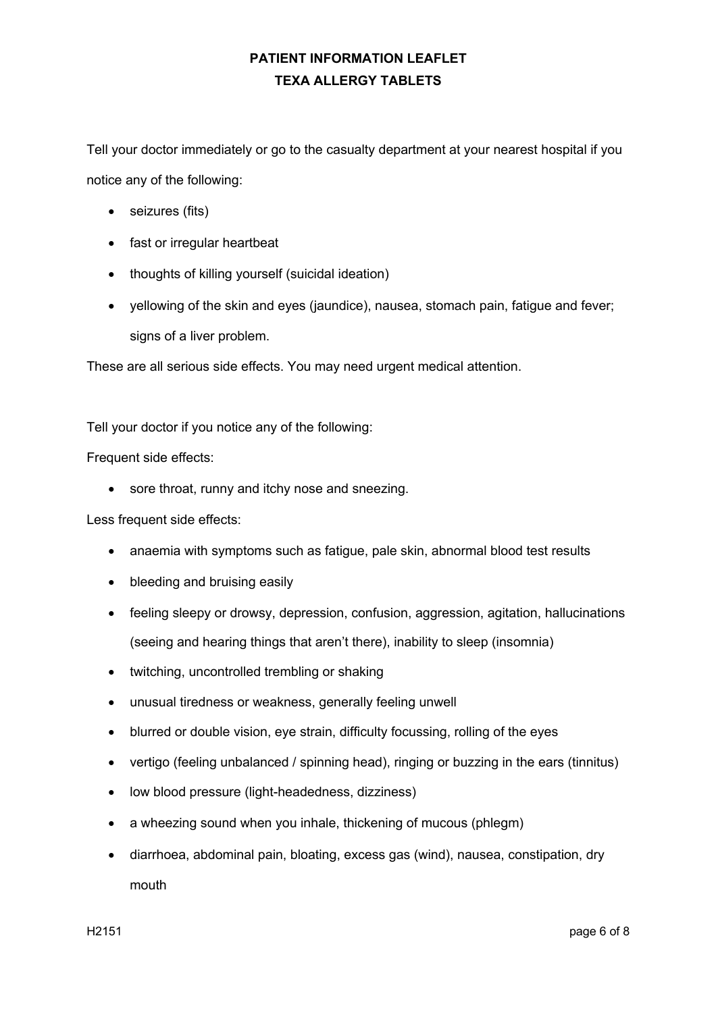Tell your doctor immediately or go to the casualty department at your nearest hospital if you notice any of the following:

- seizures (fits)
- fast or irregular heartbeat
- thoughts of killing yourself (suicidal ideation)
- yellowing of the skin and eyes (jaundice), nausea, stomach pain, fatigue and fever; signs of a liver problem.

These are all serious side effects. You may need urgent medical attention.

Tell your doctor if you notice any of the following:

Frequent side effects:

• sore throat, runny and itchy nose and sneezing.

Less frequent side effects:

- anaemia with symptoms such as fatigue, pale skin, abnormal blood test results
- bleeding and bruising easily
- feeling sleepy or drowsy, depression, confusion, aggression, agitation, hallucinations (seeing and hearing things that aren't there), inability to sleep (insomnia)
- twitching, uncontrolled trembling or shaking
- unusual tiredness or weakness, generally feeling unwell
- blurred or double vision, eye strain, difficulty focussing, rolling of the eyes
- vertigo (feeling unbalanced / spinning head), ringing or buzzing in the ears (tinnitus)
- low blood pressure (light-headedness, dizziness)
- a wheezing sound when you inhale, thickening of mucous (phlegm)
- diarrhoea, abdominal pain, bloating, excess gas (wind), nausea, constipation, dry mouth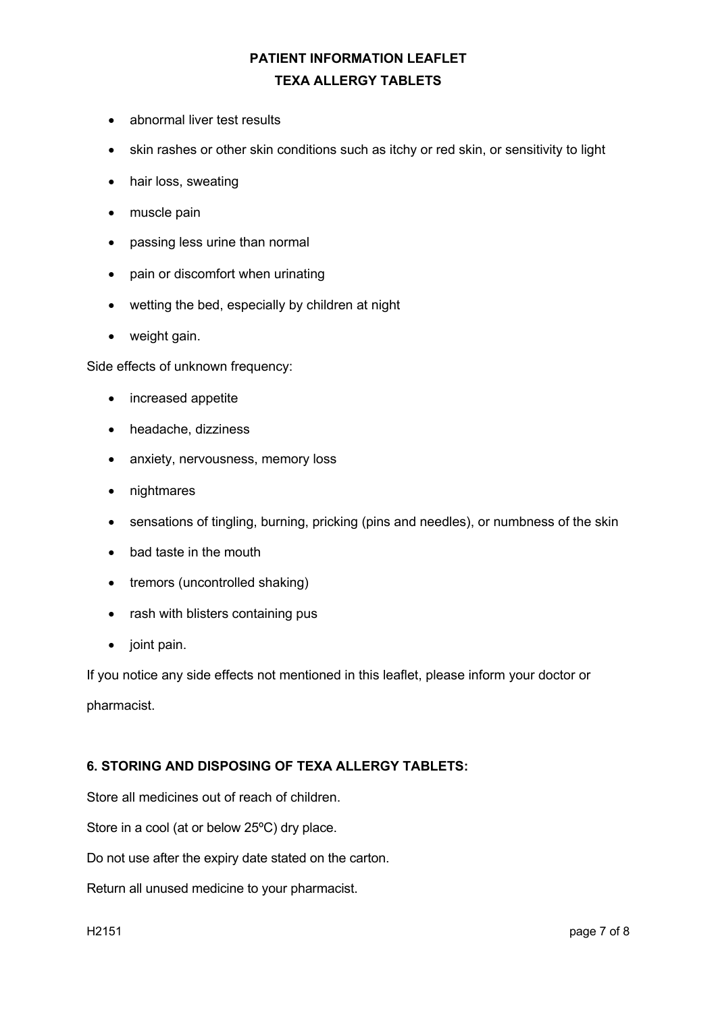- abnormal liver test results
- skin rashes or other skin conditions such as itchy or red skin, or sensitivity to light
- hair loss, sweating
- muscle pain
- passing less urine than normal
- pain or discomfort when urinating
- wetting the bed, especially by children at night
- weight gain.

Side effects of unknown frequency:

- increased appetite
- headache, dizziness
- anxiety, nervousness, memory loss
- nightmares
- sensations of tingling, burning, pricking (pins and needles), or numbness of the skin
- bad taste in the mouth
- tremors (uncontrolled shaking)
- rash with blisters containing pus
- joint pain.

If you notice any side effects not mentioned in this leaflet, please inform your doctor or pharmacist.

#### **6. STORING AND DISPOSING OF TEXA ALLERGY TABLETS:**

Store all medicines out of reach of children.

Store in a cool (at or below 25ºC) dry place.

Do not use after the expiry date stated on the carton.

Return all unused medicine to your pharmacist.